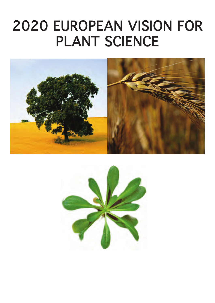# 2020 EUROPEAN VISION FOR PLANT SCIENCE



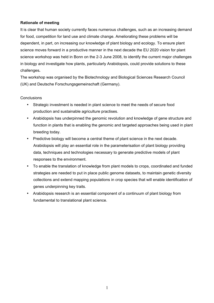## **Rationale of meeting**

It is clear that human society currently faces numerous challenges, such as an increasing demand for food, competition for land use and climate change. Ameliorating these problems will be dependent, in part, on increasing our knowledge of plant biology and ecology. To ensure plant science moves forward in a productive manner in the next decade the EU 2020 vision for plant science workshop was held in Bonn on the 2-3 June 2008, to identify the current major challenges in biology and investigate how plants, particularly Arabidopsis, could provide solutions to these challenges**.** 

The workshop was organised by the Biotechnology and Biological Sciences Research Council (UK) and Deutsche Forschungsgemeinschaft (Germany).

## **Conclusions**

- Strategic investment is needed in plant science to meet the needs of secure food production and sustainable agriculture practises.
- Arabidopsis has underpinned the genomic revolution and knowledge of gene structure and function in plants that is enabling the genomic and targeted approaches being used in plant breeding today.
- Predictive biology will become a central theme of plant science in the next decade. Arabidopsis will play an essential role in the parameterisation of plant biology providing data, techniques and technologies necessary to generate predictive models of plant responses to the environment.
- To enable the translation of knowledge from plant models to crops, coordinated and funded strategies are needed to put in place public genome datasets, to maintain genetic diversity collections and extend mapping populations in crop species that will enable identification of genes underpinning key traits.
- Arabidopsis research is an essential component of a continuum of plant biology from fundamental to translational plant science.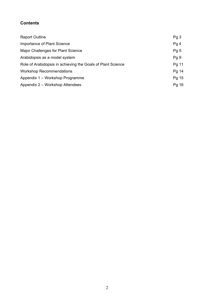# **Contents**

| <b>Report Outline</b>                                       | Pg3             |
|-------------------------------------------------------------|-----------------|
| Importance of Plant Science                                 | Pg4             |
| Major Challenges for Plant Science                          | Pg <sub>5</sub> |
| Arabidopsis as a model system                               | Pg <sub>9</sub> |
| Role of Arabidopsis in achieving the Goals of Plant Science | Pg 11           |
| <b>Workshop Recommendations</b>                             | Pg 14           |
| Appendix 1 – Workshop Programme                             | Pg 15           |
| Appendix 2 – Workshop Attendees                             | Pg 16           |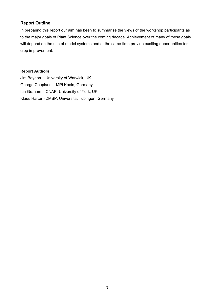## **Report Outline**

In preparing this report our aim has been to summarise the views of the workshop participants as to the major goals of Plant Science over the coming decade. Achievement of many of these goals will depend on the use of model systems and at the same time provide exciting opportunities for crop improvement.

## **Report Authors**

Jim Beynon – University of Warwick, UK George Coupland – MPI Koeln, Germany Ian Graham – CNAP, University of York, UK Klaus Harter - ZMBP, Universität Tübingen, Germany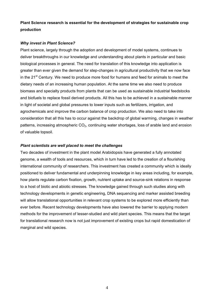## **Plant Science research is essential for the development of strategies for sustainable crop production**

## *Why invest in Plant Science?*

Plant science, largely through the adoption and development of model systems, continues to deliver breakthroughs in our knowledge and understanding about plants in particular and basic biological processes in general. The need for translation of this knowledge into application is greater than ever given the demand for step-changes in agricultural productivity that we now face in the  $21<sup>st</sup>$  Century. We need to produce more food for humans and feed for animals to meet the dietary needs of an increasing human population. At the same time we also need to produce biomass and specialty products from plants that can be used as sustainable industrial feedstocks and biofuels to replace fossil derived products. All this has to be achieved in a sustainable manner in light of societal and global pressures to lower inputs such as fertilizers, irrigation, and agrochemicals and improve the carbon balance of crop production. We also need to take into consideration that all this has to occur against the backdrop of global warming, changes in weather patterns, increasing atmospheric  $CO<sub>2</sub>$ , continuing water shortages, loss of arable land and erosion of valuable topsoil.

## *Plant scientists are well placed to meet the challenges*

Two decades of investment in the plant model Arabidopsis have generated a fully annotated genome, a wealth of tools and resources, which in turn have led to the creation of a flourishing international community of researchers. This investment has created a community which is ideally positioned to deliver fundamental and underpinning knowledge in key areas including, for example, how plants regulate carbon fixation, growth, nutrient uptake and source-sink relations in response to a host of biotic and abiotic stresses. The knowledge gained through such studies along with technology developments in genetic engineering, DNA sequencing and marker assisted breeding will allow translational opportunities in relevant crop systems to be explored more efficiently than ever before. Recent technology developments have also lowered the barrier to applying modern methods for the improvement of lesser-studied and wild plant species. This means that the target for translational research now is not just improvement of existing crops but rapid domestication of marginal and wild species.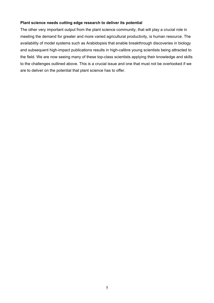### **Plant science needs cutting edge research to deliver its potential**

The other very important output from the plant science community, that will play a crucial role in meeting the demand for greater and more varied agricultural productivity, is human resource. The availability of model systems such as Arabidopsis that enable breakthrough discoveries in biology and subsequent high-impact publications results in high-calibre young scientists being attracted to the field. We are now seeing many of these top-class scientists applying their knowledge and skills to the challenges outlined above. This is a crucial issue and one that must not be overlooked if we are to deliver on the potential that plant science has to offer.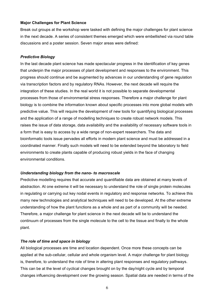#### **Major Challenges for Plant Science**

Break out groups at the workshop were tasked with defining the major challenges for plant science in the next decade. A series of consistent themes emerged which were embellished via round table discussions and a poster session. Seven major areas were defined:

#### *Predictive Biology*

In the last decade plant science has made spectacular progress in the identification of key genes that underpin the major processes of plant development and responses to the environment. This progress should continue and be augmented by advances in our understanding of gene regulation via transcription factors and by regulatory RNAs. However, the next decade will require the integration of these studies. In the real world it is not possible to separate developmental processes from those of environmental stress responses. Therefore a major challenge for plant biology is to combine the information known about specific processes into more global models with predictive value. This will require the development of new tools for quantifying biological processes and the application of a range of modelling techniques to create robust network models. This raises the issue of data storage, data availability and the availability of necessary software tools in a form that is easy to access by a wide range of non-expert researchers. The data and bioinformatic tools issue pervades all efforts in modern plant science and must be addressed in a coordinated manner. Finally such models will need to be extended beyond the laboratory to field environments to create plants capable of producing robust yields in the face of changing environmental conditions.

#### *Understanding biology from the nano- to macroscale*

Predictive modelling requires that accurate and quantifiable data are obtained at many levels of abstraction. At one extreme it will be necessary to understand the role of single protein molecules in regulating or carrying out key nodal events in regulatory and response networks. To achieve this many new technologies and analytical techniques will need to be developed. At the other extreme understanding of how the plant functions as a whole and as part of a community will be needed. Therefore, a major challenge for plant science in the next decade will be to understand the continuum of processes from the single molecule to the cell to the tissue and finally to the whole plant.

### *The role of time and space in biology*

All biological processes are time and location dependent. Once more these concepts can be applied at the sub-cellular, cellular and whole organism level. A major challenge for plant biology is, therefore, to understand the role of time in altering plant responses and regulatory pathways. This can be at the level of cyclical changes brought on by the day/night cycle and by temporal changes influencing development over the growing season. Spatial data are needed in terms of the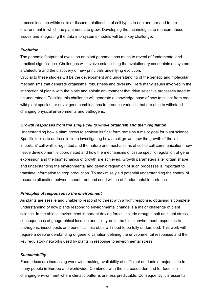process location within cells or tissues, relationship of cell types to one another and to the environment in which the plant needs to grow. Developing the technologies to measure these issues and integrating the data into systems models will be a key challenge.

### *Evolution*

The genomic footprint of evolution on plant genomes has much to reveal of fundamental and practical significance. Challenges will involve establishing the evolutionary constraints on system architecture and the discovery of new principals underlying evolution.

Crucial to these studies will be the development and understanding of the genetic and molecular mechanisms that generate organismal robustness and diversity. Here many issues involved in the interaction of plants with the biotic and abiotic environment that drive selective processes need to be understood. Tackling this challenge will generate a knowledge base of how to select from crops, wild plant species, or novel gene combinations to produce varieties that are able to withstand changing physical environments and pathogens.

## *Growth responses from the single cell to whole organism and their regulation*

Understanding how a plant grows to achieve its final form remains a major goal for plant science. Specific topics to address include investigating how a cell grows, how the growth of the 'all important' cell wall is regulated and the nature and mechanisms of cell to cell communication, how tissue development is coordinated and how the mechanisms of tissue specific regulation of gene expression and the biomechanics of growth are achieved. Growth parameters alter organ shape and understanding the environmental and genetic regulation of such processes is important to translate information to crop production. To maximise yield potential understanding the control of resource allocation between shoot, root and seed will be of fundamental importance.

## *Principles of responses to the environment*

As plants are sessile and unable to respond to threat with a flight response, obtaining a complete understanding of how plants respond to environmental change is a major challenge of plant science. In the abiotic environment important driving forces include drought, salt and light stress, consequences of geographical location and soil type. In the biotic environment responses to pathogens, insect pests and beneficial microbes will need to be fully understood. This work will require a deep understanding of genetic variation defining the environmental responses and the key regulatory networks used by plants in response to environmental stress.

## *Sustainability*

Food prices are increasing worldwide making availability of sufficient nutrients a major issue to many people in Europe and worldwide. Combined with the increased demand for food is a changing environment where climatic patterns are less predictable. Consequently it is essential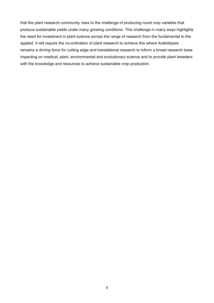that the plant research community rises to the challenge of producing novel crop varieties that produce sustainable yields under many growing conditions. This challenge in many ways highlights the need for investment in plant science across the range of research from the fundamental to the applied. It will require the co-ordination of plant research to achieve this where Arabidopsis remains a driving force for cutting edge and translational research to inform a broad research base impacting on medical, plant, environmental and evolutionary science and to provide plant breeders with the knowledge and resources to achieve sustainable crop production.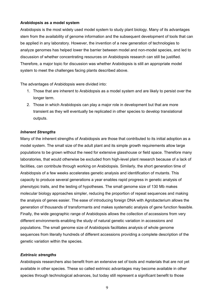## **Arabidopsis as a model system**

Arabidopsis is the most widely used model system to study plant biology. Many of its advantages stem from the availability of genome information and the subsequent development of tools that can be applied in any laboratory. However, the invention of a new generation of technologies to analyze genomes has helped lower the barrier between model and non-model species, and led to discussion of whether concentrating resources on Arabidopsis research can still be justified. Therefore, a major topic for discussion was whether Arabidopsis is still an appropriate model system to meet the challenges facing plants described above.

The advantages of Arabidopsis were divided into:

- 1. Those that are inherent to Arabidopsis as a model system and are likely to persist over the longer term.
- 2. Those in which Arabidopsis can play a major role in development but that are more transient as they will eventually be replicated in other species to develop translational outputs.

### *Inherent Strengths*

Many of the inherent strengths of Arabidopsis are those that contributed to its initial adoption as a model system. The small size of the adult plant and its simple growth requirements allow large populations to be grown without the need for extensive glasshouse or field space. Therefore many laboratories, that would otherwise be excluded from high-level plant research because of a lack of facilities, can contribute through working on Arabidopsis. Similarly, the short generation time of Arabidopsis of a few weeks accelerates genetic analysis and identification of mutants. This capacity to produce several generations a year enables rapid progress in genetic analysis of phenotypic traits, and the testing of hypotheses. The small genome size of 130 Mb makes molecular biology approaches simpler, reducing the proportion of repeat sequences and making the analysis of genes easier. The ease of introducing foreign DNA with Agrobacterium allows the generation of thousands of transformants and makes systematic analysis of gene function feasible. Finally, the wide geographic range of Arabidopsis allows the collection of accessions from very different environments enabling the study of natural genetic variation in accessions and populations. The small genome size of Arabidopsis facilitates analysis of whole genome sequences from literally hundreds of different accessions providing a complete description of the genetic variation within the species.

## *Extrinsic strengths*

Arabidopsis researchers also benefit from an extensive set of tools and materials that are not yet available in other species. These so called extrinsic advantages may become available in other species through technological advances, but today still represent a significant benefit to those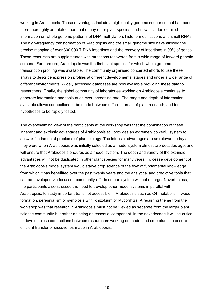working in Arabidopsis. These advantages include a high quality genome sequence that has been more thoroughly annotated than that of any other plant species, and now includes detailed information on whole genome patterns of DNA methylation, histone modifications and small RNAs. The high-frequency transformation of Arabidopsis and the small genome size have allowed the precise mapping of over 300,000 T-DNA insertions and the recovery of insertions in 90% of genes. These resources are supplemented with mutations recovered from a wide range of forward genetic screens. Furthermore, Arabidopsis was the first plant species for which whole genome transcription profiling was available. The community organised concerted efforts to use these arrays to describe expression profiles at different developmental stages and under a wide range of different environments. Widely accessed databases are now available providing these data to researchers. Finally, the global community of laboratories working on Arabidopsis continues to generate information and tools at an ever increasing rate. The range and depth of information available allows connections to be made between different areas of plant research, and for hypotheses to be rapidly tested.

The overwhelming view of the participants at the workshop was that the combination of these inherent and extrinsic advantages of Arabidopsis still provides an extremely powerful system to answer fundamental problems of plant biology. The intrinsic advantages are as relevant today as they were when Arabidopsis was initially selected as a model system almost two decades ago, and will ensure that Arabidopsis endures as a model system. The depth and variety of the extrinsic advantages will not be duplicated in other plant species for many years. To cease development of the Arabidopsis model system would starve crop science of the flow of fundamental knowledge from which it has benefitted over the past twenty years and the analytical and predictive tools that can be developed via focussed community efforts on one system will not emerge. Nevertheless, the participants also stressed the need to develop other model systems in parallel with Arabidopsis, to study important traits not accessible in Arabidopsis such as C4 metabolism, wood formation, perennialism or symbiosis with Rhizobium or Mycorrhiza. A recurring theme from the workshop was that research in Arabidopsis must not be viewed as separate from the larger plant science community but rather as being an essential component. In the next decade it will be critical to develop close connections between researchers working on model and crop plants to ensure efficient transfer of discoveries made in Arabidopsis.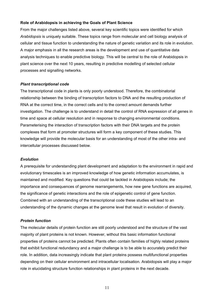## **Role of Arabidopsis in achieving the Goals of Plant Science**

From the major challenges listed above, several key scientific topics were identified for which *Arabidopsis* is uniquely suitable. These topics range from molecular and cell biology analysis of cellular and tissue function to understanding the nature of genetic variation and its role in evolution. A major emphasis in all the research areas is the development and use of quantitative data analysis techniques to enable predictive biology. This will be central to the role of Arabidopsis in plant science over the next 10 years, resulting in predictive modelling of selected cellular processes and signalling networks.

## *Plant transcriptional code*

The transcriptional code in plants is only poorly understood. Therefore, the combinatorial relationship between the binding of transcription factors to DNA and the resulting production of RNA at the correct time, in the correct cells and to the correct amount demands further investigation. The challenge is to understand in detail the control of RNA expression of all genes in time and space at cellular resolution and in response to changing environmental conditions. Parameterising the interaction of transcription factors with their DNA targets and the protein complexes that form at promoter structures will form a key component of these studies. This knowledge will provide the molecular basis for an understanding of most of the other intra- and intercellular processes discussed below.

### *Evolution*

A prerequisite for understanding plant development and adaptation to the environment in rapid and evolutionary timescales is an improved knowledge of how genetic information accumulates, is maintained and modified. Key questions that could be tackled in Arabidopsis include; the importance and consequences of genome rearrangements, how new gene functions are acquired, the significance of genetic interactions and the role of epigenetic control of gene function. Combined with an understanding of the transcriptional code these studies will lead to an understanding of the dynamic changes at the genome level that result in evolution of diversity.

## *Protein function*

The molecular details of protein function are still poorly understood and the structure of the vast majority of plant proteins is not known. However, without this basic information functional properties of proteins cannot be predicted. Plants often contain families of highly related proteins that exhibit functional redundancy and a major challenge is to be able to accurately predict their role. In addition, data increasingly indicate that plant proteins possess multifunctional properties depending on their cellular environment and intracellular localisation. Arabidopsis will play a major role in elucidating structure function relationships in plant proteins in the next decade.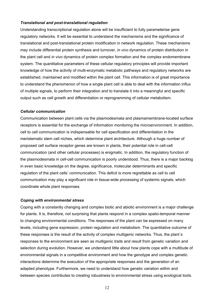### *Translational and post-translational regulation*

Understanding transcriptional regulation alone will be insufficient to fully parameterise gene regulatory networks. It will be essential to understand the mechanisms and the significance of translational and post-translational protein modification in network regulation. These mechanisms may include differential protein synthesis and turnover, *in vivo* dynamics of protein distribution in the plant cell and *in vivo* dynamics of protein complex formation and the complex endomembrane system. The quantitative parameters of these cellular regulatory principles will provide important knowledge of how the activity of multi-enzymatic metabolic pathways and regulatory networks are established, maintained and modified within the plant cell. This information is of great importance to understand the phenomenon of how a single plant cell is able to deal with the information influx of multiple signals, to perform their integration and to translate it into a meaningful and specific output such as cell growth and differentiation or reprogramming of cellular metabolism.

### *Cellular communication*

Communication between plant cells via the plasmodesmata and plasmamembrane-located surface receptors is essential for the exchange of information monitoring the microenvironment. In addition, cell to cell communication is indispensable for cell specification and differentiation in the meristematic stem cell niches, which determine plant architecture. Although a huge number of proposed cell surface receptor genes are known in plants, their potential role in cell-cell communication (and other cellular processes) is enigmatic. In addition, the regulatory function of the plasmodesmata in cell-cell communication is poorly understood. Thus, there is a major backlog in even basic knowledge on the degree, significance, molecular determinants and specific regulation of the plant cells' communication. This deficit is more regrettable as cell to cell communication may play a significant role in tissue-wide processing of systemic signals, which coordinate whole plant responses.

### *Coping with environmental stress*

Coping with a constantly changing and complex biotic and abiotic environment is a major challenge for plants. It is, therefore, not surprising that plants respond in a complex spatio-temporal manner to changing environmental conditions. The responses of the plant can be expressed on many levels, including gene expression, protein regulation and metabolism. The quantitative outcome of these responses is the result of the activity of complex multigenic networks. Thus, the plant´s responses to the environment are seen as multigenic traits and result from genetic variation and selection during evolution. However, we understand little about how plants cope with a multitude of environmental signals in a competitive environment and how the genotype and complex genetic interactions determine the execution of the appropriate responses and the generation of an adapted phenotype. Furthermore, we need to understand how genetic variation within and between species contributes to creating robustness to environmental stress using ecological tools.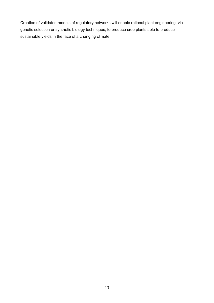Creation of validated models of regulatory networks will enable rational plant engineering, via genetic selection or synthetic biology techniques, to produce crop plants able to produce sustainable yields in the face of a changing climate.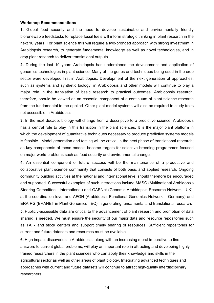#### **Workshop Recommendations**

**1.** Global food security and the need to develop sustainable and environmentally friendly biorenewable feedstocks to replace fossil fuels will inform strategic thinking in plant research in the next 10 years. For plant science this will require a two-pronged approach with strong investment in Arabidopsis research, to generate fundamental knowledge as well as novel technologies, and in crop plant research to deliver translational outputs.

**2.** During the last 10 years Arabidopsis has underpinned the development and application of genomics technologies in plant science. Many of the genes and techniques being used in the crop sector were developed first in Arabidopsis. Development of the next generation of approaches, such as systems and synthetic biology, in Arabidopsis and other models will continue to play a major role in the translation of basic research to practical outcomes. Arabidopsis research, therefore, should be viewed as an essential component of a continuum of plant science research from the fundamental to the applied. Other plant model systems will also be required to study traits not accessible in Arabidopsis.

**3.** In the next decade, biology will change from a descriptive to a predictive science. Arabidopsis has a central role to play in this transition in the plant sciences. It is the major plant platform in which the development of quantitative techniques necessary to produce predictive systems models is feasible. Model generation and testing will be critical in the next phase of translational research; as key components of these models become targets for selective breeding programmes focused on major world problems such as food security and environmental change.

**4.** An essential component of future success will be the maintenance of a productive and collaborative plant science community that consists of both basic and applied research. Ongoing community building activities at the national and international level should therefore be encouraged and supported. Successful examples of such interactions include MASC (Multinational Arabidopsis Steering Committee - International) and GARNet (Genomic Arabidopsis Research Network - UK), at the coordination level and AFGN (Arabidopsis Functional Genomics Network – Germany) and ERA-PG (ERANET in Plant Genomics - EC) in generating fundamental and translational research.

**5.** Publicly-accessible data are critical to the advancement of plant research and promotion of data sharing is needed. We must ensure the security of our major data and resource repositories such as TAIR and stock centers and support timely sharing of resources. Sufficient repositories for current and future datasets and resources must be available.

**6.** High impact discoveries in Arabidopsis, along with an increasing moral imperative to find answers to current global problems, will play an important role in attracting and developing highlytrained researchers in the plant sciences who can apply their knowledge and skills in the agricultural sector as well as other areas of plant biology. Integrating advanced techniques and approaches with current and future datasets will continue to attract high-quality interdisciplinary researchers.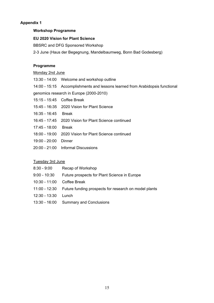## **Appendix 1**

### **Workshop Programme**

#### **EU 2020 Vision for Plant Science**

BBSRC and DFG Sponsored Workshop

2-3 June (Haus der Begegnung, Mandelbaumweg, Bonn Bad Godesberg)

## **Programme**

#### Monday 2nd June

- 13:30 14:00 Welcome and workshop outline
- 14:00 15:15 Accomplishments and lessons learned from Arabidopsis functional

genomics research in Europe (2000-2010)

- 15:15 15:45 Coffee Break
- 15:45 16**:**35 2020 Vision for Plant Science
- 16:35 16:45 Break
- 16:45 17:45 2020 Vision for Plant Science continued
- 17:45 18:00 Break
- 18:00 19:00 2020 Vision for Plant Science continued
- 19:00 20:00 Dinner
- 20:00 21:00 Informal Discussions

## Tuesday 3rd June

| 8:30 - 9:00   | Recap of Workshop                                                   |
|---------------|---------------------------------------------------------------------|
| 9:00 - 10:30  | Future prospects for Plant Science in Europe                        |
| 10:30 - 11:00 | Coffee Break                                                        |
|               | 11:00 - 12:30 Future funding prospects for research on model plants |
| 12:30 - 13:30 | Lunch                                                               |
|               | 13:30 - 16:00 Summary and Conclusions                               |